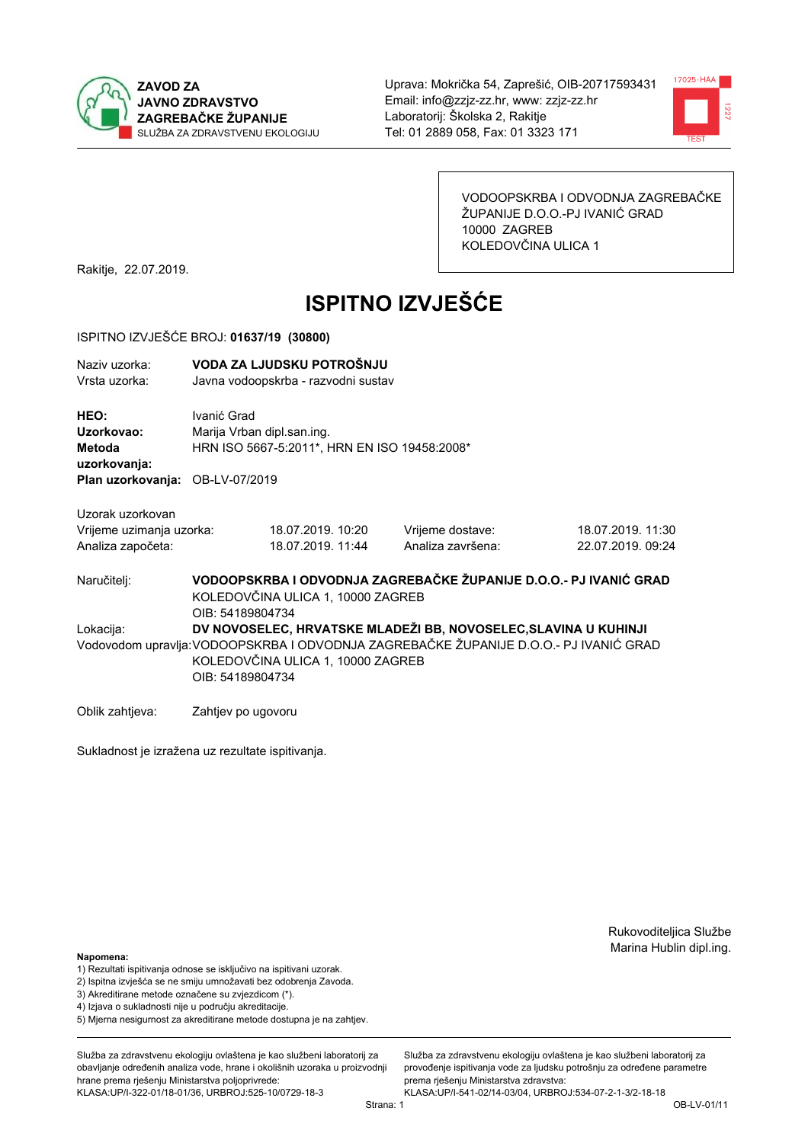



VODOOPSKRBA I ODVODNJA ZAGREBAČKE ŽUPANIJE D.O.O.-PJ IVANIĆ GRAD 10000 ZAGREB KOLEDOVČINA ULICA 1

Rakitje, 22.07.2019.

# **ISPITNO IZVJEŠĆE**

#### ISPITNO IZVJEŠĆE BROJ: 01637/19 (30800)

| Naziv uzorka:<br>Vrsta uzorka:               |                    | VODA ZA LJUDSKU POTROŠNJU<br>Javna vodoopskrba - razvodni sustav           |                   |                                                                                       |  |
|----------------------------------------------|--------------------|----------------------------------------------------------------------------|-------------------|---------------------------------------------------------------------------------------|--|
| HEO:<br>Uzorkovao:<br>Metoda<br>uzorkovanja: | Ivanić Grad        | Marija Vrban dipl.san.ing.<br>HRN ISO 5667-5:2011*, HRN EN ISO 19458:2008* |                   |                                                                                       |  |
| Plan uzorkovanja: OB-LV-07/2019              |                    |                                                                            |                   |                                                                                       |  |
| Uzorak uzorkovan                             |                    |                                                                            |                   |                                                                                       |  |
| Vrijeme uzimanja uzorka:                     |                    | 18.07.2019. 10:20                                                          | Vrijeme dostave:  | 18.07.2019. 11:30                                                                     |  |
| Analiza započeta:                            |                    | 18.07.2019. 11:44                                                          | Analiza završena: | 22.07.2019. 09:24                                                                     |  |
| Naručitelj:                                  | OIB: 54189804734   | KOLEDOVČINA ULICA 1, 10000 ZAGREB                                          |                   | VODOOPSKRBA I ODVODNJA ZAGREBAČKE ŽUPANIJE D.O.O.- PJ IVANIĆ GRAD                     |  |
| Lokacija:                                    |                    |                                                                            |                   | DV NOVOSELEC, HRVATSKE MLADEŽI BB, NOVOSELEC, SLAVINA U KUHINJI                       |  |
|                                              | OIB: 54189804734   | KOLEDOVČINA ULICA 1, 10000 ZAGREB                                          |                   | Vodovodom upravlja: VODOOPSKRBA I ODVODNJA ZAGREBAČKE ŽUPANIJE D.O.O.- PJ IVANIĆ GRAD |  |
| Oblik zahtieva:                              | Zahtjev po ugovoru |                                                                            |                   |                                                                                       |  |

Sukladnost je izražena uz rezultate ispitivanja.

Rukovoditeljica Službe Marina Hublin dipl.ing.

#### Napomena:

- 1) Rezultati ispitivanja odnose se isključivo na ispitivani uzorak.
- 2) Ispitna izvješća se ne smiju umnožavati bez odobrenja Zavoda.
- 3) Akreditirane metode označene su zvjezdicom (\*).
- 4) Iziava o sukladnosti nije u području akreditacije.
- 5) Mjerna nesigurnost za akreditirane metode dostupna je na zahtjev.

Služba za zdravstvenu ekologiju ovlaštena je kao službeni laboratorij za obavlianie određenih analiza vode, hrane i okolišnih uzoraka u proizvodniji hrane prema rješenju Ministarstva poljoprivrede: KLASA:UP/I-322-01/18-01/36, URBROJ:525-10/0729-18-3

Služba za zdravstvenu ekologiju ovlaštena je kao službeni laboratorij za provođenie ispitivania vode za liudsku potrošniu za određene parametre prema rješenju Ministarstva zdravstva:

KLASA:UP/I-541-02/14-03/04, URBROJ:534-07-2-1-3/2-18-18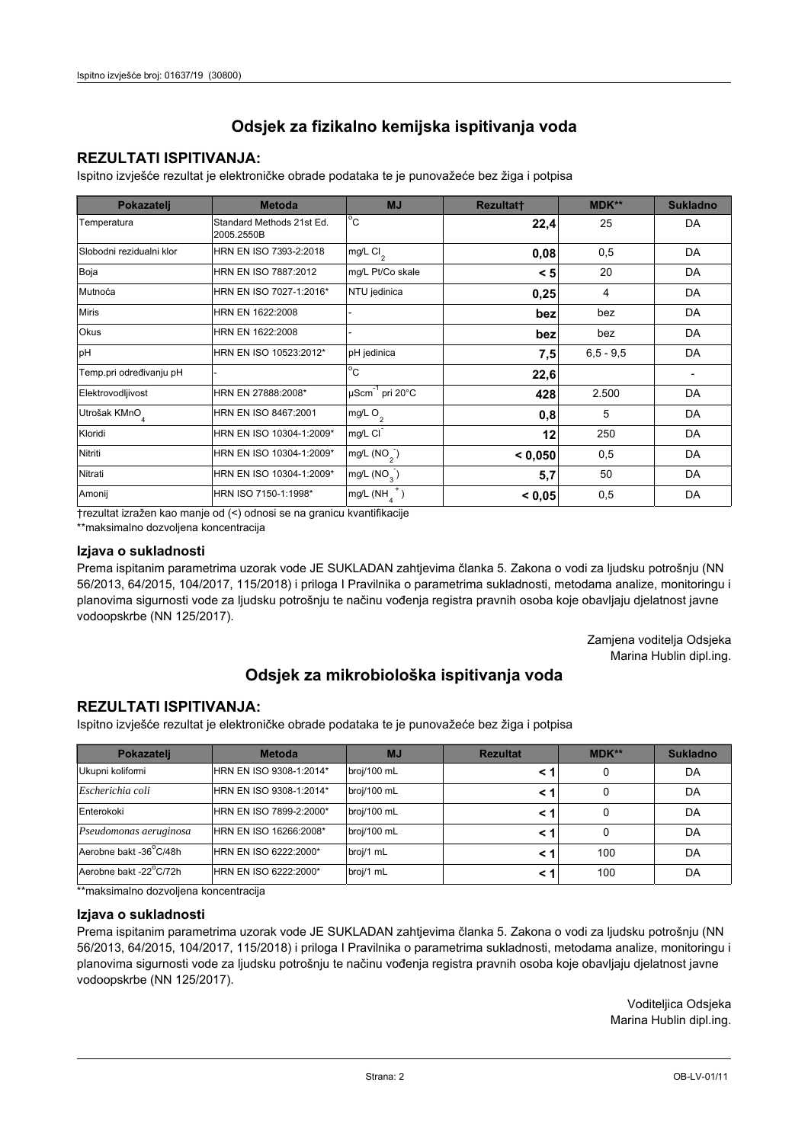### **REZULTATI ISPITIVANJA:**

Ispitno izviešće rezultat je elektroničke obrade podataka te je punovažeće bez žiga i potpisa

| Pokazatelj                | <b>Metoda</b>                           | <b>MJ</b>                   | <b>Rezultatt</b> | <b>MDK**</b> | <b>Sukladno</b> |
|---------------------------|-----------------------------------------|-----------------------------|------------------|--------------|-----------------|
| Temperatura               | Standard Methods 21st Ed.<br>2005.2550B | $^{\circ}$ C                | 22,4             | 25           | DA              |
| Slobodni rezidualni klor  | HRN EN ISO 7393-2:2018                  | $mg/L$ Cl <sub>2</sub>      | 0,08             | 0,5          | DA              |
| Boja                      | HRN EN ISO 7887:2012                    | mg/L Pt/Co skale            | < 5              | 20           | DA              |
| Mutnoća                   | HRN EN ISO 7027-1:2016*                 | NTU jedinica                | 0,25             | 4            | DA              |
| <b>Miris</b>              | HRN EN 1622:2008                        |                             | bez              | bez          | DA              |
| <b>Okus</b>               | HRN EN 1622:2008                        |                             | bez              | bez          | DA              |
| pH                        | HRN EN ISO 10523:2012*                  | pH jedinica                 | 7,5              | $6.5 - 9.5$  | DA              |
| Temp.pri određivanju pH   |                                         | $\overline{C}$              | 22,6             |              |                 |
| Elektrovodljivost         | HRN EN 27888:2008*                      | µScm <sup>-1</sup> pri 20°C | 428              | 2.500        | DA              |
| Utrošak KMnO <sub>4</sub> | HRN EN ISO 8467:2001                    | mg/L O <sub>2</sub>         | 0,8              | 5            | DA              |
| Kloridi                   | HRN EN ISO 10304-1:2009*                | mg/L CI                     | 12               | 250          | DA              |
| Nitriti                   | HRN EN ISO 10304-1:2009*                | mg/L (NO <sub>2</sub> )     | < 0.050          | 0,5          | DA              |
| Nitrati                   | HRN EN ISO 10304-1:2009*                | mg/L $(NO_{\alpha})$        | 5,7              | 50           | DA              |
| Amonij                    | HRN ISO 7150-1:1998*                    | mg/L (NH                    | < 0,05           | 0,5          | DA              |

trezultat izražen kao manje od (<) odnosi se na granicu kvantifikacije

\*\*maksimalno dozvoljena koncentracija

#### Izjava o sukladnosti

Prema ispitanim parametrima uzorak vode JE SUKLADAN zahtievima članka 5. Zakona o vodi za ljudsku potrošnju (NN 56/2013, 64/2015, 104/2017, 115/2018) i priloga I Pravilnika o parametrima sukladnosti, metodama analize, monitoringu i planovima sigurnosti vode za ljudsku potrošnju te načinu vođenja registra pravnih osoba koje obavljaju djelatnost javne vodoopskrbe (NN 125/2017).

> Zamjena voditelja Odsjeka Marina Hublin dipl.ing.

## Odsjek za mikrobiološka ispitivanja voda

### **REZULTATI ISPITIVANJA:**

Ispitno izvješće rezultat je elektroničke obrade podataka te je punovažeće bez žiga i potpisa

| Pokazatelj             | <b>Metoda</b>           | <b>MJ</b>   | <b>Rezultat</b> | $MDK**$ | <b>Sukladno</b> |
|------------------------|-------------------------|-------------|-----------------|---------|-----------------|
| Ukupni kolifomi        | HRN EN ISO 9308-1:2014* | broj/100 mL |                 | 0       | DA              |
| Escherichia coli       | HRN EN ISO 9308-1:2014* | broj/100 mL |                 | 0       | DA              |
| Enterokoki             | HRN EN ISO 7899-2:2000* | broj/100 mL |                 | 0       | DA              |
| Pseudomonas aeruginosa | HRN EN ISO 16266:2008*  | broj/100 mL | < 1             | 0       | DA              |
| Aerobne bakt -36 C/48h | HRN EN ISO 6222:2000*   | broj/1 mL   |                 | 100     | DA              |
| Aerobne bakt -22°C/72h | HRN EN ISO 6222:2000*   | broj/1 mL   |                 | 100     | DA              |

\*\*maksimalno dozvoljena koncentracija

#### Izjava o sukladnosti

Prema ispitanim parametrima uzorak vode JE SUKLADAN zahtjevima članka 5. Zakona o vodi za ljudsku potrošnju (NN 56/2013, 64/2015, 104/2017, 115/2018) i priloga I Pravilnika o parametrima sukladnosti, metodama analize, monitoringu i planovima sigurnosti vode za ljudsku potrošnju te načinu vođenja registra pravnih osoba koje obavljaju djelatnost javne vodoopskrbe (NN 125/2017).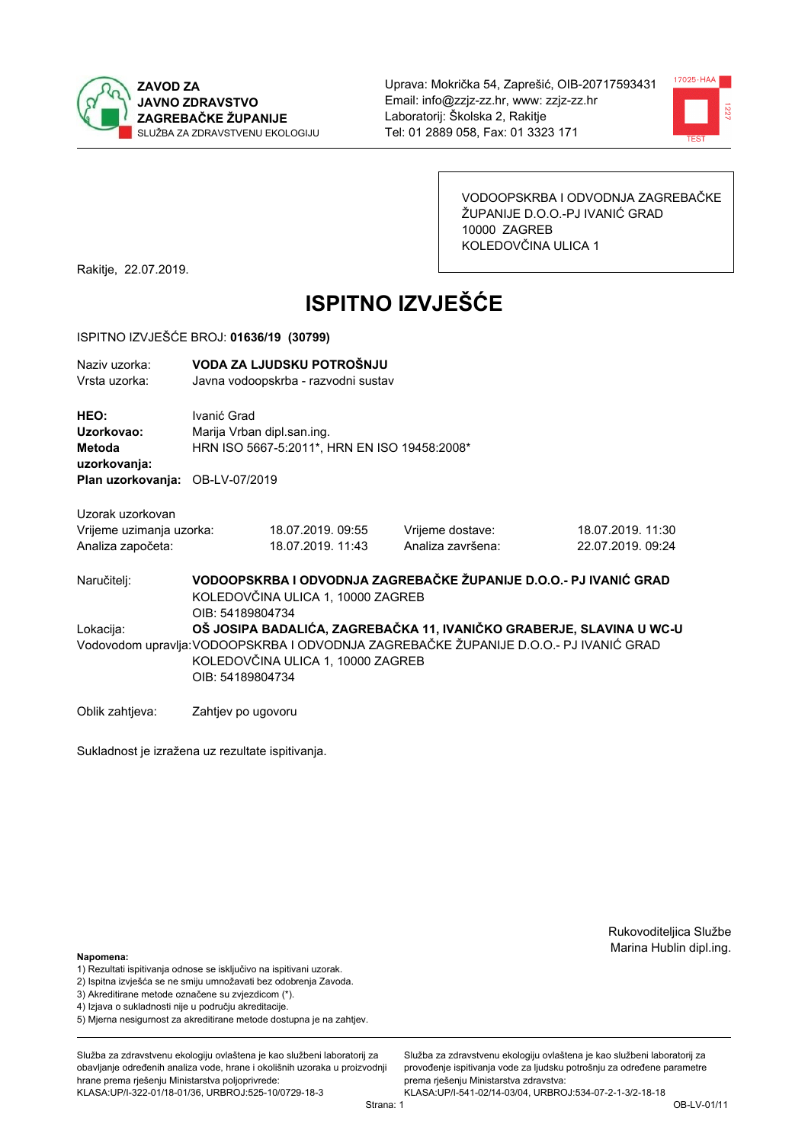



VODOOPSKRBA I ODVODNJA ZAGREBAČKE ŽUPANIJE D.O.O.-PJ IVANIĆ GRAD 10000 ZAGREB KOLEDOVČINA ULICA 1

Rakitje, 22.07.2019.

# **ISPITNO IZVJEŠĆE**

#### ISPITNO IZVJEŠĆE BROJ: 01636/19 (30799)

| Naziv uzorka:<br>Vrsta uzorka:               |                    | VODA ZA LJUDSKU POTROŠNJU<br>Javna vodoopskrba - razvodni sustav           |                   |                                                                                       |  |  |
|----------------------------------------------|--------------------|----------------------------------------------------------------------------|-------------------|---------------------------------------------------------------------------------------|--|--|
| HEO:<br>Uzorkovao:<br>Metoda<br>uzorkovanja: | Ivanić Grad        | Marija Vrban dipl.san.ing.<br>HRN ISO 5667-5:2011*, HRN EN ISO 19458:2008* |                   |                                                                                       |  |  |
| Plan uzorkovanja: OB-LV-07/2019              |                    |                                                                            |                   |                                                                                       |  |  |
| Uzorak uzorkovan                             |                    |                                                                            |                   |                                                                                       |  |  |
| Vrijeme uzimanja uzorka:                     |                    | 18.07.2019.09:55                                                           | Vrijeme dostave:  | 18.07.2019. 11:30                                                                     |  |  |
| Analiza započeta:                            |                    | 18.07.2019. 11:43                                                          | Analiza završena: | 22.07.2019. 09:24                                                                     |  |  |
| Naručitelj:                                  | OIB: 54189804734   | KOLEDOVČINA ULICA 1, 10000 ZAGREB                                          |                   | VODOOPSKRBA I ODVODNJA ZAGREBAČKE ŽUPANIJE D.O.O.- PJ IVANIĆ GRAD                     |  |  |
| Lokacija:                                    |                    |                                                                            |                   | OŠ JOSIPA BADALIĆA, ZAGREBAČKA 11, IVANIČKO GRABERJE, SLAVINA U WC-U                  |  |  |
|                                              |                    |                                                                            |                   | Vodovodom upravlja: VODOOPSKRBA I ODVODNJA ZAGREBAČKE ŽUPANIJE D.O.O.- PJ IVANIĆ GRAD |  |  |
|                                              |                    | KOLEDOVČINA ULICA 1, 10000 ZAGREB                                          |                   |                                                                                       |  |  |
|                                              | OIB: 54189804734   |                                                                            |                   |                                                                                       |  |  |
| Oblik zahtjeva:                              | Zahtjev po ugovoru |                                                                            |                   |                                                                                       |  |  |

Sukladnost je izražena uz rezultate ispitivanja.

Rukovoditeljica Službe Marina Hublin dipl.ing.

#### Napomena:

- 1) Rezultati ispitivanja odnose se isključivo na ispitivani uzorak.
- 2) Ispitna izvješća se ne smiju umnožavati bez odobrenja Zavoda.
- 3) Akreditirane metode označene su zvjezdicom (\*).
- 4) Iziava o sukladnosti nije u području akreditacije.
- 5) Mjerna nesigurnost za akreditirane metode dostupna je na zahtjev.

Služba za zdravstvenu ekologiju ovlaštena je kao službeni laboratorij za obavlianie određenih analiza vode, hrane i okolišnih uzoraka u proizvodniji hrane prema rješenju Ministarstva poljoprivrede: KLASA:UP/I-322-01/18-01/36, URBROJ:525-10/0729-18-3

Strana: 1

Služba za zdravstvenu ekologiju ovlaštena je kao službeni laboratorij za provođenie ispitivania vode za liudsku potrošniu za određene parametre prema rješenju Ministarstva zdravstva:

KLASA:UP/I-541-02/14-03/04, URBROJ:534-07-2-1-3/2-18-18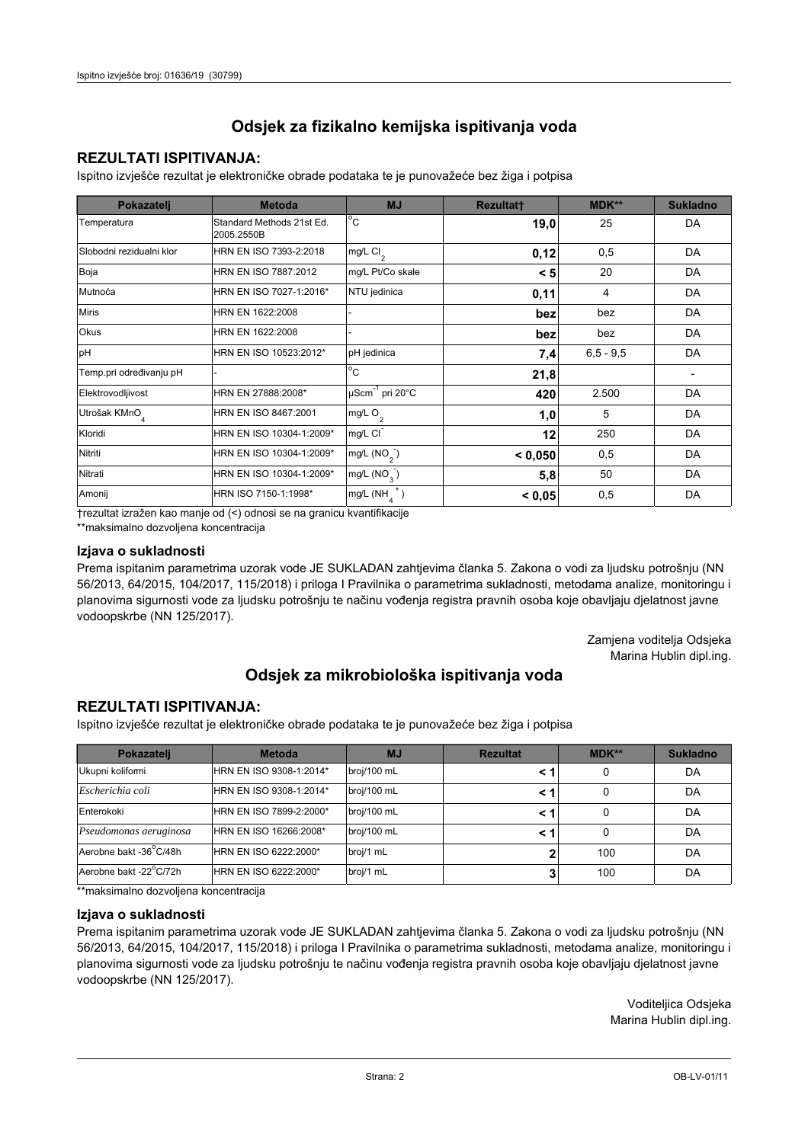## **REZULTATI ISPITIVANJA:**

Ispitno izviešće rezultat je elektroničke obrade podataka te je punovažeće bez žiga i potpisa

| Pokazatelj                | <b>Metoda</b>                           | <b>MJ</b>                   | <b>Rezultatt</b> | <b>MDK**</b>  | <b>Sukladno</b> |
|---------------------------|-----------------------------------------|-----------------------------|------------------|---------------|-----------------|
| Temperatura               | Standard Methods 21st Ed.<br>2005.2550B | $^{\circ}$ C                | 19,0             | 25            | DA              |
| Slobodni rezidualni klor  | HRN EN ISO 7393-2:2018                  | $mg/L$ Cl <sub>2</sub>      | 0,12             | 0,5           | DA              |
| Boja                      | HRN EN ISO 7887:2012                    | mg/L Pt/Co skale            | < 5              | 20            | DA              |
| Mutnoća                   | HRN EN ISO 7027-1:2016*                 | NTU jedinica                | 0,11             | 4             | DA              |
| <b>Miris</b>              | HRN EN 1622:2008                        |                             | bez              | bez           | DA              |
| Okus                      | HRN EN 1622:2008                        |                             | bez              | bez           | DA              |
| pH                        | HRN EN ISO 10523:2012*                  | pH jedinica                 | 7,4              | $6, 5 - 9, 5$ | DA              |
| Temp.pri određivanju pH   |                                         | $^{\circ}$ C                | 21,8             |               |                 |
| Elektrovodljivost         | HRN EN 27888:2008*                      | µScm <sup>-1</sup> pri 20°C | 420              | 2.500         | DA              |
| Utrošak KMnO <sub>4</sub> | HRN EN ISO 8467:2001                    | mg/L O <sub>2</sub>         | 1,0              | 5             | DA              |
| Kloridi                   | HRN EN ISO 10304-1:2009*                | mg/L CI                     | 12               | 250           | DA              |
| Nitriti                   | HRN EN ISO 10304-1:2009*                | mg/L (NO <sub>2</sub> )     | < 0,050          | 0,5           | DA              |
| Nitrati                   | HRN EN ISO 10304-1:2009*                | mg/L (NO <sub>3</sub> )     | 5,8              | 50            | DA              |
| Amonij                    | HRN ISO 7150-1:1998*                    | mg/L (NH                    | < 0.05           | 0,5           | DA              |

trezultat izražen kao manje od (<) odnosi se na granicu kvantifikacije

\*\*maksimalno dozvoljena koncentracija

#### Izjava o sukladnosti

Prema ispitanim parametrima uzorak vode JE SUKLADAN zahtievima članka 5. Zakona o vodi za ljudsku potrošnju (NN 56/2013, 64/2015, 104/2017, 115/2018) i priloga I Pravilnika o parametrima sukladnosti, metodama analize, monitoringu i planovima sigurnosti vode za ljudsku potrošnju te načinu vođenja registra pravnih osoba koje obavljaju djelatnost javne vodoopskrbe (NN 125/2017).

> Zamjena voditelja Odsjeka Marina Hublin dipl.ing.

## Odsjek za mikrobiološka ispitivanja voda

## **REZULTATI ISPITIVANJA:**

Ispitno izvješće rezultat je elektroničke obrade podataka te je punovažeće bez žiga i potpisa

| Pokazatelj             | <b>Metoda</b>           | <b>MJ</b>   | <b>Rezultat</b> | $MDK**$ | <b>Sukladno</b> |
|------------------------|-------------------------|-------------|-----------------|---------|-----------------|
| Ukupni kolifomi        | HRN EN ISO 9308-1:2014* | broj/100 mL |                 | 0       | DA              |
| Escherichia coli       | HRN EN ISO 9308-1:2014* | broj/100 mL |                 | 0       | DA              |
| Enterokoki             | HRN EN ISO 7899-2:2000* | broj/100 mL |                 | 0       | DA              |
| Pseudomonas aeruginosa | HRN EN ISO 16266:2008*  | broj/100 mL | < 1             | 0       | DA              |
| Aerobne bakt -36 C/48h | HRN EN ISO 6222:2000*   | broj/1 mL   |                 | 100     | DA              |
| Aerobne bakt -22°C/72h | HRN EN ISO 6222:2000*   | broj/1 mL   |                 | 100     | DA              |

\*\*maksimalno dozvoljena koncentracija

#### Izjava o sukladnosti

Prema ispitanim parametrima uzorak vode JE SUKLADAN zahtjevima članka 5. Zakona o vodi za ljudsku potrošnju (NN 56/2013, 64/2015, 104/2017, 115/2018) i priloga I Pravilnika o parametrima sukladnosti, metodama analize, monitoringu i planovima sigurnosti vode za ljudsku potrošnju te načinu vođenja registra pravnih osoba koje obavljaju djelatnost javne vodoopskrbe (NN 125/2017).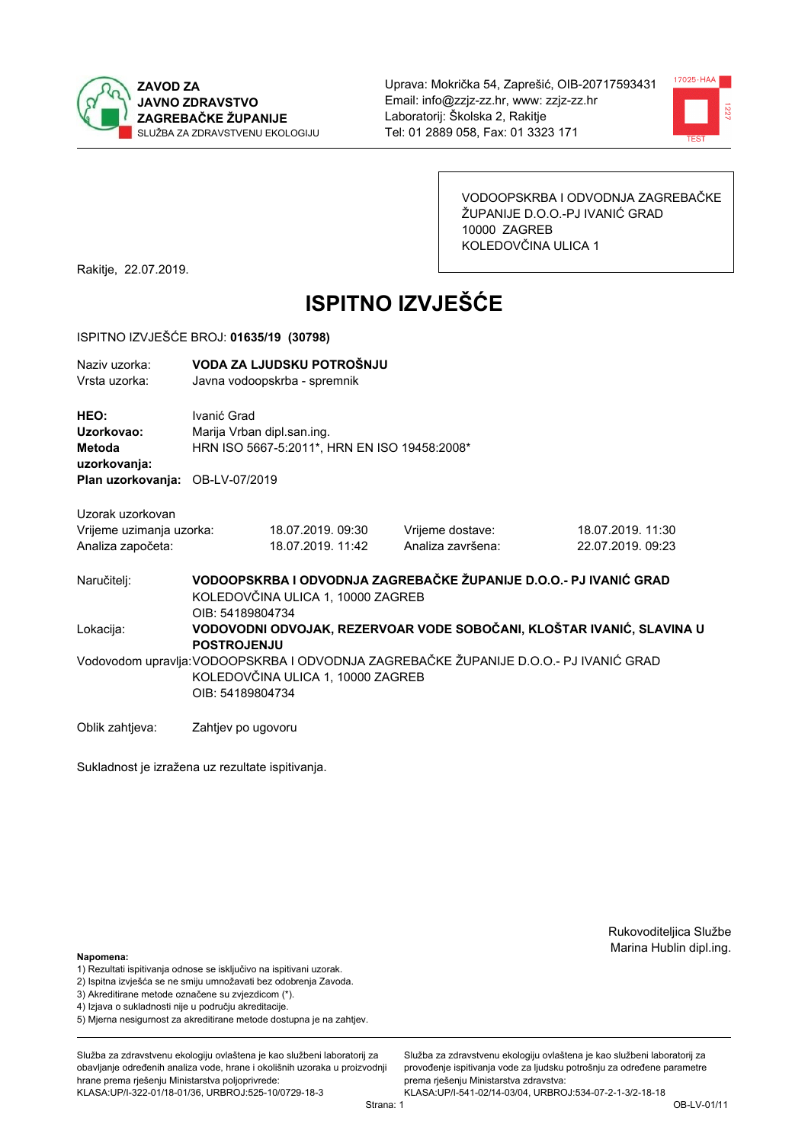



VODOOPSKRBA I ODVODNJA ZAGREBAČKE ŽUPANIJE D.O.O.-PJ IVANIĆ GRAD 10000 ZAGREB KOLEDOVČINA ULICA 1

Rakitje, 22.07.2019.

# **ISPITNO IZVJEŠĆE**

#### ISPITNO IZVJEŠĆE BROJ: 01635/19 (30798)

| Naziv uzorka:<br>Vrsta uzorka:                  |                    | VODA ZA LJUDSKU POTROŠNJU<br>Javna vodoopskrba - spremnik                  |                                                                                       |                                                                       |  |  |
|-------------------------------------------------|--------------------|----------------------------------------------------------------------------|---------------------------------------------------------------------------------------|-----------------------------------------------------------------------|--|--|
| HEO:<br>Uzorkovao:<br>Metoda                    | Ivanić Grad        | Marija Vrban dipl.san.ing.<br>HRN ISO 5667-5:2011*, HRN EN ISO 19458:2008* |                                                                                       |                                                                       |  |  |
| uzorkovanja:<br>Plan uzorkovanja: OB-LV-07/2019 |                    |                                                                            |                                                                                       |                                                                       |  |  |
| Uzorak uzorkovan                                |                    |                                                                            |                                                                                       |                                                                       |  |  |
| Vrijeme uzimanja uzorka:<br>Analiza započeta:   |                    | 18.07.2019.09:30<br>18.07.2019. 11:42                                      | Vrijeme dostave:<br>Analiza završena:                                                 | 18.07.2019. 11:30<br>22.07.2019. 09:23                                |  |  |
| Naručitelj:                                     | OIB: 54189804734   | KOLEDOVČINA ULICA 1, 10000 ZAGREB                                          | VODOOPSKRBA I ODVODNJA ZAGREBAČKE ŽUPANIJE D.O.O.- PJ IVANIĆ GRAD                     |                                                                       |  |  |
| Lokacija:                                       | <b>POSTROJENJU</b> |                                                                            |                                                                                       | VODOVODNI ODVOJAK, REZERVOAR VODE SOBOČANI, KLOŠTAR IVANIĆ, SLAVINA U |  |  |
|                                                 | OIB: 54189804734   | KOLEDOVČINA ULICA 1, 10000 ZAGREB                                          | Vodovodom upravlja: VODOOPSKRBA I ODVODNJA ZAGREBAČKE ŽUPANIJE D.O.O.- PJ IVANIĆ GRAD |                                                                       |  |  |
| Oblik zahtjeva:                                 | Zahtjev po ugovoru |                                                                            |                                                                                       |                                                                       |  |  |

Sukladnost je izražena uz rezultate ispitivanja.

Rukovoditeljica Službe Marina Hublin dipl.ing.

#### Napomena:

- 1) Rezultati ispitivanja odnose se isključivo na ispitivani uzorak.
- 2) Ispitna izvješća se ne smiju umnožavati bez odobrenja Zavoda.
- 3) Akreditirane metode označene su zvjezdicom (\*).
- 4) Iziava o sukladnosti nije u području akreditacije.
- 5) Mjerna nesigurnost za akreditirane metode dostupna je na zahtjev.

Služba za zdravstvenu ekologiju ovlaštena je kao službeni laboratorij za obavlianie određenih analiza vode, hrane i okolišnih uzoraka u proizvodniji hrane prema rješenju Ministarstva poljoprivrede:

KLASA:UP/I-322-01/18-01/36, URBROJ:525-10/0729-18-3

Služba za zdravstvenu ekologiju ovlaštena je kao službeni laboratorij za provođenie ispitivania vode za liudsku potrošniu za određene parametre prema rješenju Ministarstva zdravstva:

KLASA:UP/I-541-02/14-03/04, URBROJ:534-07-2-1-3/2-18-18 Strana: 1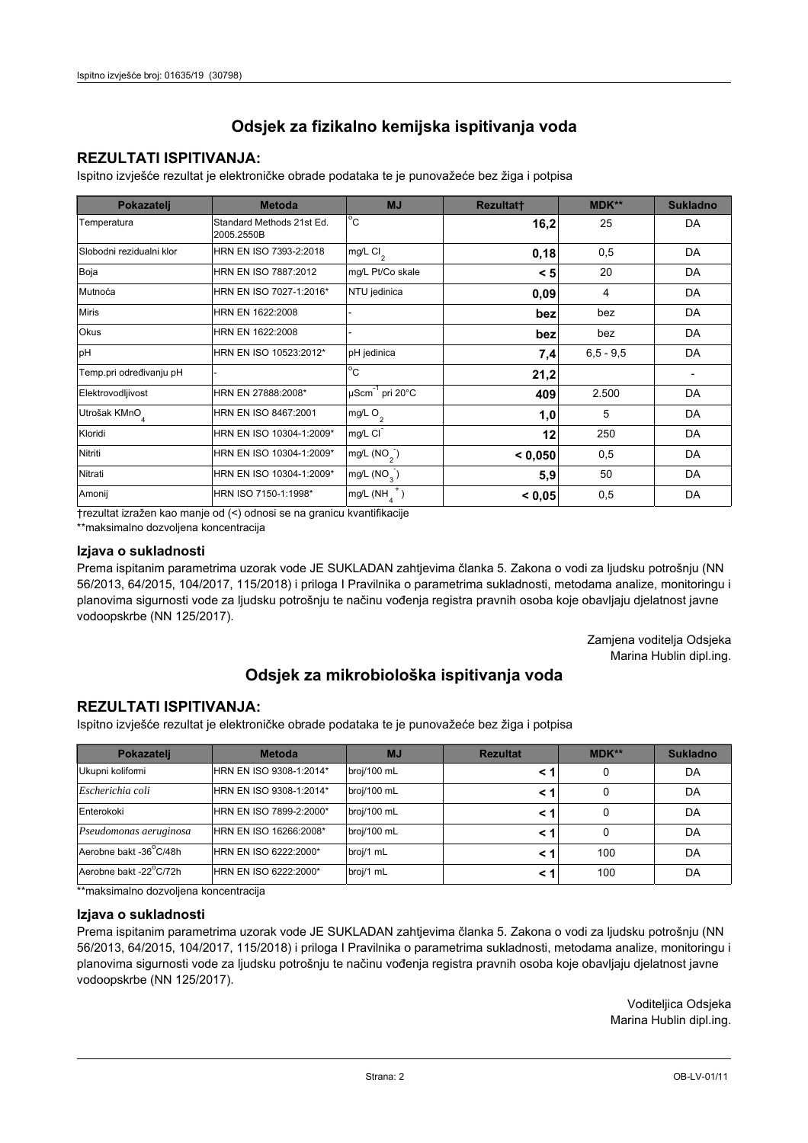## **REZULTATI ISPITIVANJA:**

Ispitno izviešće rezultat je elektroničke obrade podataka te je punovažeće bez žiga i potpisa

| Pokazatelj                | <b>Metoda</b>                           | <b>MJ</b>               | <b>Rezultatt</b> | <b>MDK**</b>  | <b>Sukladno</b> |
|---------------------------|-----------------------------------------|-------------------------|------------------|---------------|-----------------|
| Temperatura               | Standard Methods 21st Ed.<br>2005.2550B | $^{\circ}$ C            | 16,2             | 25            | DA              |
| Slobodni rezidualni klor  | HRN EN ISO 7393-2:2018                  | $mg/L$ Cl <sub>2</sub>  | 0,18             | 0,5           | DA              |
| Boja                      | HRN EN ISO 7887:2012                    | mg/L Pt/Co skale        | < 5              | 20            | DA              |
| Mutnoća                   | HRN EN ISO 7027-1:2016*                 | NTU jedinica            | 0,09             | 4             | DA              |
| <b>Miris</b>              | HRN EN 1622:2008                        |                         | bez              | bez           | DA              |
| Okus                      | HRN EN 1622:2008                        |                         | bez              | bez           | DA              |
| pH                        | HRN EN ISO 10523:2012*                  | pH jedinica             | 7,4              | $6, 5 - 9, 5$ | DA              |
| Temp.pri određivanju pH   |                                         | $^{\circ}$ C            | 21,2             |               |                 |
| Elektrovodljivost         | HRN EN 27888:2008*                      | µScm-1 pri 20°C         | 409              | 2.500         | DA              |
| Utrošak KMnO <sub>4</sub> | HRN EN ISO 8467:2001                    | mg/L O <sub>2</sub>     | 1,0              | 5             | DA              |
| Kloridi                   | HRN EN ISO 10304-1:2009*                | mg/L CI                 | 12               | 250           | DA              |
| Nitriti                   | HRN EN ISO 10304-1:2009*                | mg/L $(NO2)$            | < 0.050          | 0,5           | DA              |
| Nitrati                   | HRN EN ISO 10304-1:2009*                | mg/L (NO <sub>3</sub> ) | 5,9              | 50            | DA              |
| Amonij                    | HRN ISO 7150-1:1998*                    | mg/L (NH                | < 0.05           | 0,5           | DA              |

trezultat izražen kao manje od (<) odnosi se na granicu kvantifikacije

\*\*maksimalno dozvoljena koncentracija

#### Izjava o sukladnosti

Prema ispitanim parametrima uzorak vode JE SUKLADAN zahtievima članka 5. Zakona o vodi za ljudsku potrošnju (NN 56/2013, 64/2015, 104/2017, 115/2018) i priloga I Pravilnika o parametrima sukladnosti, metodama analize, monitoringu i planovima sigurnosti vode za ljudsku potrošnju te načinu vođenja registra pravnih osoba koje obavljaju djelatnost javne vodoopskrbe (NN 125/2017).

> Zamjena voditelja Odsjeka Marina Hublin dipl.ing.

## Odsjek za mikrobiološka ispitivanja voda

## **REZULTATI ISPITIVANJA:**

Ispitno izvješće rezultat je elektroničke obrade podataka te je punovažeće bez žiga i potpisa

| Pokazatelj             | <b>Metoda</b>           | <b>MJ</b>   | <b>Rezultat</b> | $MDK**$ | <b>Sukladno</b> |
|------------------------|-------------------------|-------------|-----------------|---------|-----------------|
| Ukupni kolifomi        | HRN EN ISO 9308-1:2014* | broj/100 mL |                 | 0       | DA              |
| Escherichia coli       | HRN EN ISO 9308-1:2014* | broj/100 mL |                 | 0       | DA              |
| Enterokoki             | HRN EN ISO 7899-2:2000* | broj/100 mL |                 | 0       | DA              |
| Pseudomonas aeruginosa | HRN EN ISO 16266:2008*  | broj/100 mL | < 1             | 0       | DA              |
| Aerobne bakt -36 C/48h | HRN EN ISO 6222:2000*   | broj/1 mL   |                 | 100     | DA              |
| Aerobne bakt -22°C/72h | HRN EN ISO 6222:2000*   | broj/1 mL   |                 | 100     | DA              |

\*\*maksimalno dozvoljena koncentracija

#### Izjava o sukladnosti

Prema ispitanim parametrima uzorak vode JE SUKLADAN zahtjevima članka 5. Zakona o vodi za ljudsku potrošnju (NN 56/2013, 64/2015, 104/2017, 115/2018) i priloga I Pravilnika o parametrima sukladnosti, metodama analize, monitoringu i planovima sigurnosti vode za ljudsku potrošnju te načinu vođenja registra pravnih osoba koje obavljaju djelatnost javne vodoopskrbe (NN 125/2017).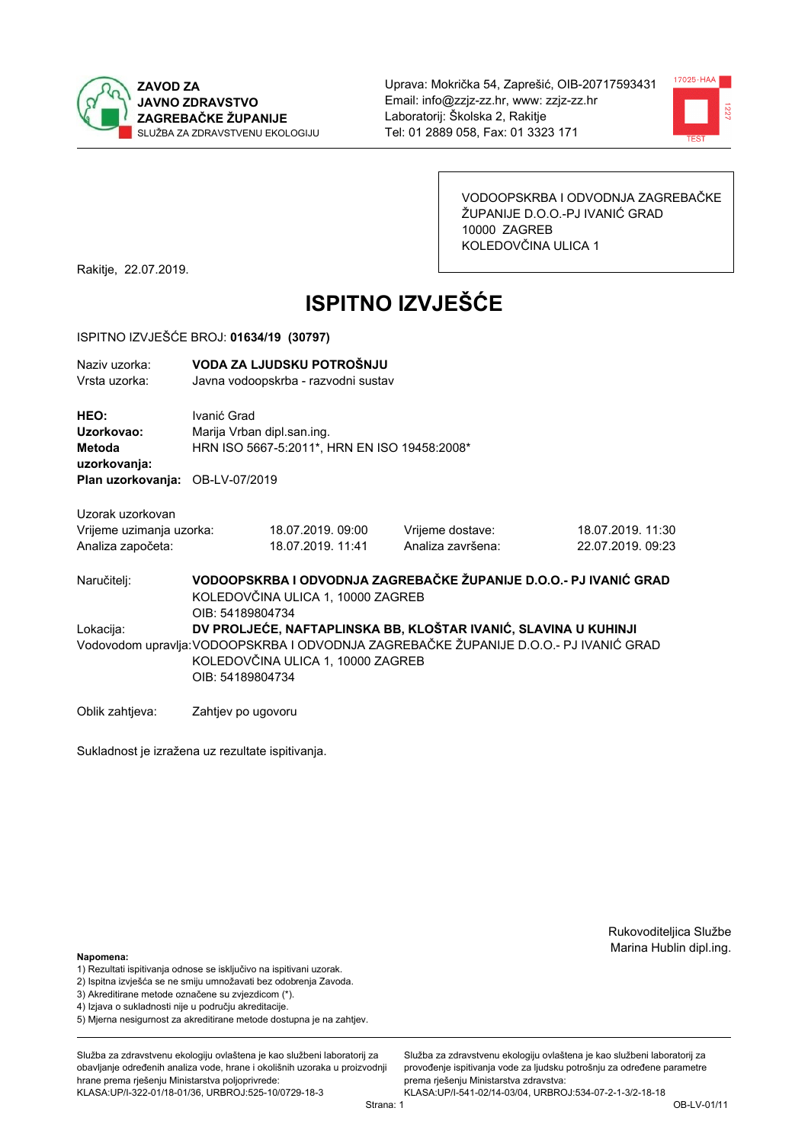



VODOOPSKRBA I ODVODNJA ZAGREBAČKE ŽUPANIJE D.O.O.-PJ IVANIĆ GRAD 10000 ZAGREB KOLEDOVČINA ULICA 1

Rakitje, 22.07.2019.

# **ISPITNO IZVJEŠĆE**

#### ISPITNO IZVJEŠĆE BROJ: 01634/19 (30797)

| Naziv uzorka:<br>Vrsta uzorka:                      |                                                                                                                            | VODA ZA LJUDSKU POTROŠNJU<br>Javna vodoopskrba - razvodni sustav           |                                                                                                                                                         |                   |  |  |
|-----------------------------------------------------|----------------------------------------------------------------------------------------------------------------------------|----------------------------------------------------------------------------|---------------------------------------------------------------------------------------------------------------------------------------------------------|-------------------|--|--|
| <b>HEO:</b><br>Uzorkovao:<br>Metoda<br>uzorkovanja: | Ivanić Grad                                                                                                                | Marija Vrban dipl.san.ing.<br>HRN ISO 5667-5:2011*, HRN EN ISO 19458:2008* |                                                                                                                                                         |                   |  |  |
| Plan uzorkovanja: OB-LV-07/2019                     |                                                                                                                            |                                                                            |                                                                                                                                                         |                   |  |  |
| Uzorak uzorkovan                                    |                                                                                                                            |                                                                            |                                                                                                                                                         |                   |  |  |
| Vrijeme uzimanja uzorka:                            |                                                                                                                            | 18.07.2019.09:00                                                           | Vrijeme dostave:                                                                                                                                        | 18.07.2019. 11:30 |  |  |
| Analiza započeta:                                   |                                                                                                                            | 18.07.2019. 11:41                                                          | Analiza završena:                                                                                                                                       | 22.07.2019. 09:23 |  |  |
| Naručiteli:                                         | VODOOPSKRBA I ODVODNJA ZAGREBAČKE ŽUPANIJE D.O.O.- PJ IVANIĆ GRAD<br>KOLEDOVČINA ULICA 1, 10000 ZAGREB<br>OIB: 54189804734 |                                                                            |                                                                                                                                                         |                   |  |  |
| Lokacija:                                           | OIB: 54189804734                                                                                                           | KOLEDOVČINA ULICA 1, 10000 ZAGREB                                          | DV PROLJEĆE, NAFTAPLINSKA BB, KLOŠTAR IVANIĆ, SLAVINA U KUHINJI<br>Vodovodom upravlja:VODOOPSKRBA I ODVODNJA ZAGREBAČKE ŽUPANIJE D.O.O.- PJ IVANIĆ GRAD |                   |  |  |

Oblik zahtjeva: Zahtjev po ugovoru

Sukladnost je izražena uz rezultate ispitivanja.

Rukovoditeljica Službe Marina Hublin dipl.ing.

#### Napomena:

- 1) Rezultati ispitivanja odnose se isključivo na ispitivani uzorak.
- 2) Ispitna izvješća se ne smiju umnožavati bez odobrenja Zavoda.
- 3) Akreditirane metode označene su zvjezdicom (\*).
- 4) Iziava o sukladnosti nije u području akreditacije.
- 5) Mjerna nesigurnost za akreditirane metode dostupna je na zahtjev.

Služba za zdravstvenu ekologiju ovlaštena je kao službeni laboratorij za obavlianie određenih analiza vode, hrane i okolišnih uzoraka u proizvodniji hrane prema rješenju Ministarstva poljoprivrede: KLASA:UP/I-322-01/18-01/36, URBROJ:525-10/0729-18-3

Služba za zdravstvenu ekologiju ovlaštena je kao službeni laboratorij za provođenie ispitivania vode za liudsku potrošniu za određene parametre prema rješenju Ministarstva zdravstva: KLASA:UP/I-541-02/14-03/04, URBROJ:534-07-2-1-3/2-18-18

Strana: 1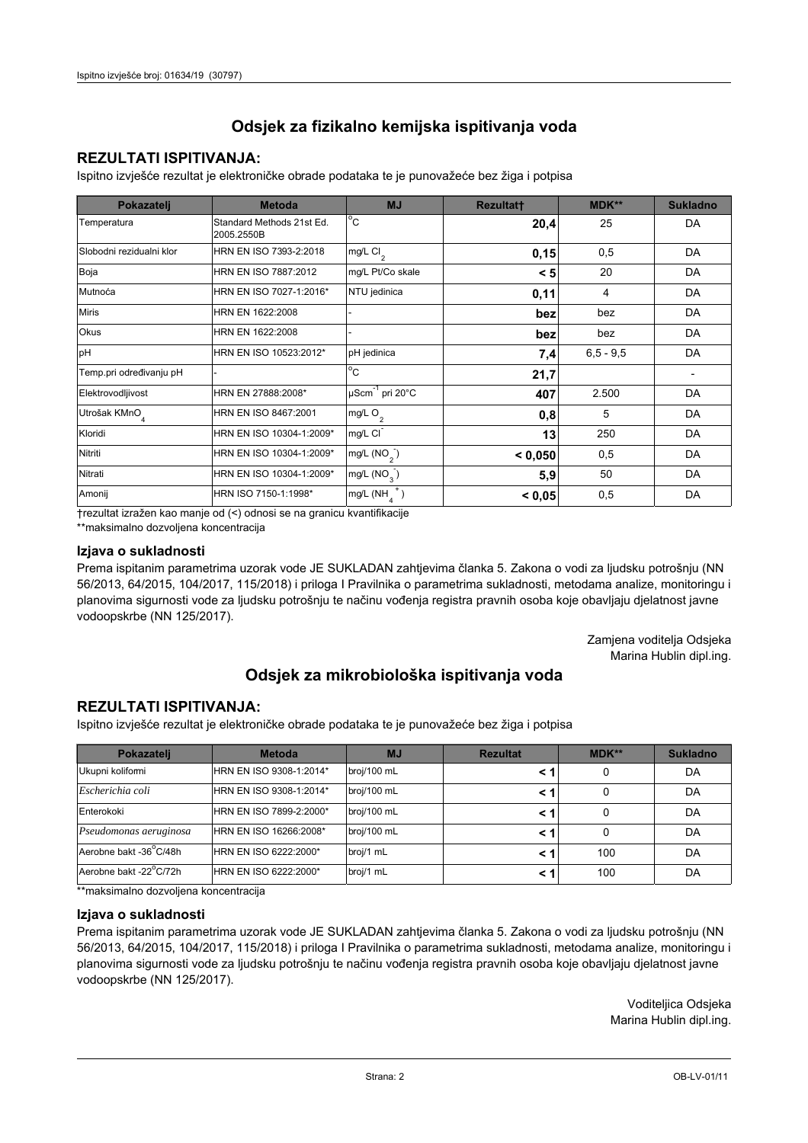## **REZULTATI ISPITIVANJA:**

Ispitno izviešće rezultat je elektroničke obrade podataka te je punovažeće bez žiga i potpisa

| Pokazatelj                | <b>Metoda</b>                           | <b>MJ</b>                   | <b>Rezultatt</b> | <b>MDK**</b>  | <b>Sukladno</b> |
|---------------------------|-----------------------------------------|-----------------------------|------------------|---------------|-----------------|
| Temperatura               | Standard Methods 21st Ed.<br>2005.2550B | $^{\circ}$ C                | 20,4             | 25            | DA              |
| Slobodni rezidualni klor  | HRN EN ISO 7393-2:2018                  | $mg/L$ Cl <sub>2</sub>      | 0,15             | 0,5           | DA              |
| Boja                      | HRN EN ISO 7887:2012                    | mg/L Pt/Co skale            | < 5              | 20            | DA              |
| Mutnoća                   | HRN EN ISO 7027-1:2016*                 | NTU jedinica                | 0,11             | 4             | DA              |
| <b>Miris</b>              | HRN EN 1622:2008                        |                             | bez              | bez           | DA              |
| <b>Okus</b>               | HRN EN 1622:2008                        |                             | bez              | bez           | DA              |
| pH                        | HRN EN ISO 10523:2012*                  | pH jedinica                 | 7,4              | $6, 5 - 9, 5$ | DA              |
| Temp.pri određivanju pH   |                                         | $\overline{C}$              | 21,7             |               |                 |
| Elektrovodljivost         | HRN EN 27888:2008*                      | µScm <sup>-1</sup> pri 20°C | 407              | 2.500         | DA              |
| Utrošak KMnO <sub>4</sub> | HRN EN ISO 8467:2001                    | mg/L O <sub>2</sub>         | 0,8              | 5             | DA              |
| Kloridi                   | HRN EN ISO 10304-1:2009*                | mg/L CI                     | 13               | 250           | DA              |
| Nitriti                   | HRN EN ISO 10304-1:2009*                | mg/L $(NO2)$                | < 0,050          | 0,5           | DA              |
| Nitrati                   | HRN EN ISO 10304-1:2009*                | mg/L (NO <sub>3</sub> )     | 5,9              | 50            | DA              |
| Amonij                    | HRN ISO 7150-1:1998*                    | mg/L (NH                    | < 0,05           | 0,5           | DA              |

trezultat izražen kao manje od (<) odnosi se na granicu kvantifikacije

\*\*maksimalno dozvoljena koncentracija

#### Izjava o sukladnosti

Prema ispitanim parametrima uzorak vode JE SUKLADAN zahtievima članka 5. Zakona o vodi za ljudsku potrošnju (NN 56/2013, 64/2015, 104/2017, 115/2018) i priloga I Pravilnika o parametrima sukladnosti, metodama analize, monitoringu i planovima sigurnosti vode za ljudsku potrošnju te načinu vođenja registra pravnih osoba koje obavljaju djelatnost javne vodoopskrbe (NN 125/2017).

> Zamjena voditelja Odsjeka Marina Hublin dipl.ing.

## Odsjek za mikrobiološka ispitivanja voda

## **REZULTATI ISPITIVANJA:**

Ispitno izvješće rezultat je elektroničke obrade podataka te je punovažeće bez žiga i potpisa

| Pokazatelj             | <b>Metoda</b>           | <b>MJ</b>   | <b>Rezultat</b> | $MDK**$ | <b>Sukladno</b> |
|------------------------|-------------------------|-------------|-----------------|---------|-----------------|
| Ukupni kolifomi        | HRN EN ISO 9308-1:2014* | broj/100 mL |                 | 0       | DA              |
| Escherichia coli       | HRN EN ISO 9308-1:2014* | broj/100 mL |                 | 0       | DA              |
| Enterokoki             | HRN EN ISO 7899-2:2000* | broj/100 mL |                 | 0       | DA              |
| Pseudomonas aeruginosa | HRN EN ISO 16266:2008*  | broj/100 mL | < 1             | 0       | DA              |
| Aerobne bakt -36 C/48h | HRN EN ISO 6222:2000*   | broj/1 mL   |                 | 100     | DA              |
| Aerobne bakt -22°C/72h | HRN EN ISO 6222:2000*   | broj/1 mL   |                 | 100     | DA              |

\*\*maksimalno dozvoljena koncentracija

#### Izjava o sukladnosti

Prema ispitanim parametrima uzorak vode JE SUKLADAN zahtjevima članka 5. Zakona o vodi za ljudsku potrošnju (NN 56/2013, 64/2015, 104/2017, 115/2018) i priloga I Pravilnika o parametrima sukladnosti, metodama analize, monitoringu i planovima sigurnosti vode za ljudsku potrošnju te načinu vođenja registra pravnih osoba koje obavljaju djelatnost javne vodoopskrbe (NN 125/2017).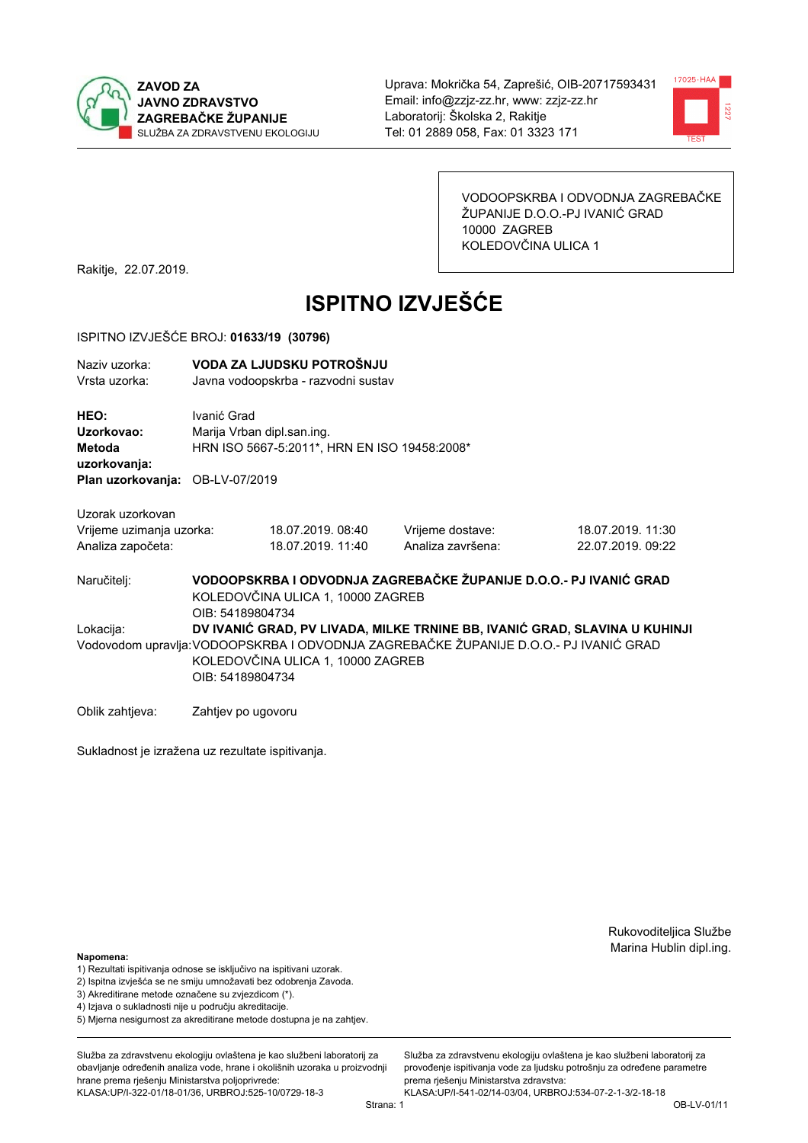



VODOOPSKRBA I ODVODNJA ZAGREBAČKE ŽUPANIJE D.O.O.-PJ IVANIĆ GRAD 10000 ZAGREB KOLEDOVČINA ULICA 1

Rakitje, 22.07.2019.

# **ISPITNO IZVJEŠĆE**

#### ISPITNO IZVJEŠĆE BROJ: 01633/19 (30796)

| Naziv uzorka:<br>Vrsta uzorka:                                                                                                                                                                                                            | VODA ZA LJUDSKU POTROŠNJU<br>Javna vodoopskrba - razvodni sustav                                                           |                                        |                                       |                                        |  |  |
|-------------------------------------------------------------------------------------------------------------------------------------------------------------------------------------------------------------------------------------------|----------------------------------------------------------------------------------------------------------------------------|----------------------------------------|---------------------------------------|----------------------------------------|--|--|
| HEO:<br>Uzorkovao:<br>Metoda<br>uzorkovanja:<br>Plan uzorkovanja:                                                                                                                                                                         | Ivanić Grad<br>Marija Vrban dipl.san.ing.<br>HRN ISO 5667-5:2011*, HRN EN ISO 19458:2008*<br>OB-LV-07/2019                 |                                        |                                       |                                        |  |  |
| Uzorak uzorkovan<br>Vrijeme uzimanja uzorka:<br>Analiza započeta:                                                                                                                                                                         |                                                                                                                            | 18.07.2019. 08:40<br>18.07.2019. 11:40 | Vrijeme dostave:<br>Analiza završena: | 18.07.2019. 11:30<br>22.07.2019. 09:22 |  |  |
| Naručitelj:                                                                                                                                                                                                                               | VODOOPSKRBA I ODVODNJA ZAGREBAČKE ŽUPANIJE D.O.O.- PJ IVANIĆ GRAD<br>KOLEDOVČINA ULICA 1, 10000 ZAGREB<br>OIB: 54189804734 |                                        |                                       |                                        |  |  |
| DV IVANIĆ GRAD, PV LIVADA, MILKE TRNINE BB, IVANIĆ GRAD, SLAVINA U KUHINJI<br>Lokacija:<br>Vodovodom upravlja: VODOOPSKRBA I ODVODNJA ZAGREBAČKE ŽUPANIJE D.O.O.- PJ IVANIĆ GRAD<br>KOLEDOVČINA ULICA 1, 10000 ZAGREB<br>OIB: 54189804734 |                                                                                                                            |                                        |                                       |                                        |  |  |
| Oblik zahtjeva:                                                                                                                                                                                                                           | Zahtjev po ugovoru                                                                                                         |                                        |                                       |                                        |  |  |

Sukladnost je izražena uz rezultate ispitivanja.

Rukovoditeljica Službe Marina Hublin dipl.ing.

#### Napomena:

- 1) Rezultati ispitivanja odnose se isključivo na ispitivani uzorak.
- 2) Ispitna izvješća se ne smiju umnožavati bez odobrenja Zavoda.
- 3) Akreditirane metode označene su zvjezdicom (\*).
- 4) Iziava o sukladnosti nije u području akreditacije.
- 5) Mjerna nesigurnost za akreditirane metode dostupna je na zahtjev.

Služba za zdravstvenu ekologiju ovlaštena je kao službeni laboratorij za obavlianie određenih analiza vode, hrane i okolišnih uzoraka u proizvodniji hrane prema rješenju Ministarstva poljoprivrede: KLASA:UP/I-322-01/18-01/36, URBROJ:525-10/0729-18-3

Služba za zdravstvenu ekologiju ovlaštena je kao službeni laboratorij za provođenie ispitivania vode za liudsku potrošniu za određene parametre prema rješenju Ministarstva zdravstva: KLASA:UP/I-541-02/14-03/04, URBROJ:534-07-2-1-3/2-18-18

Strana: 1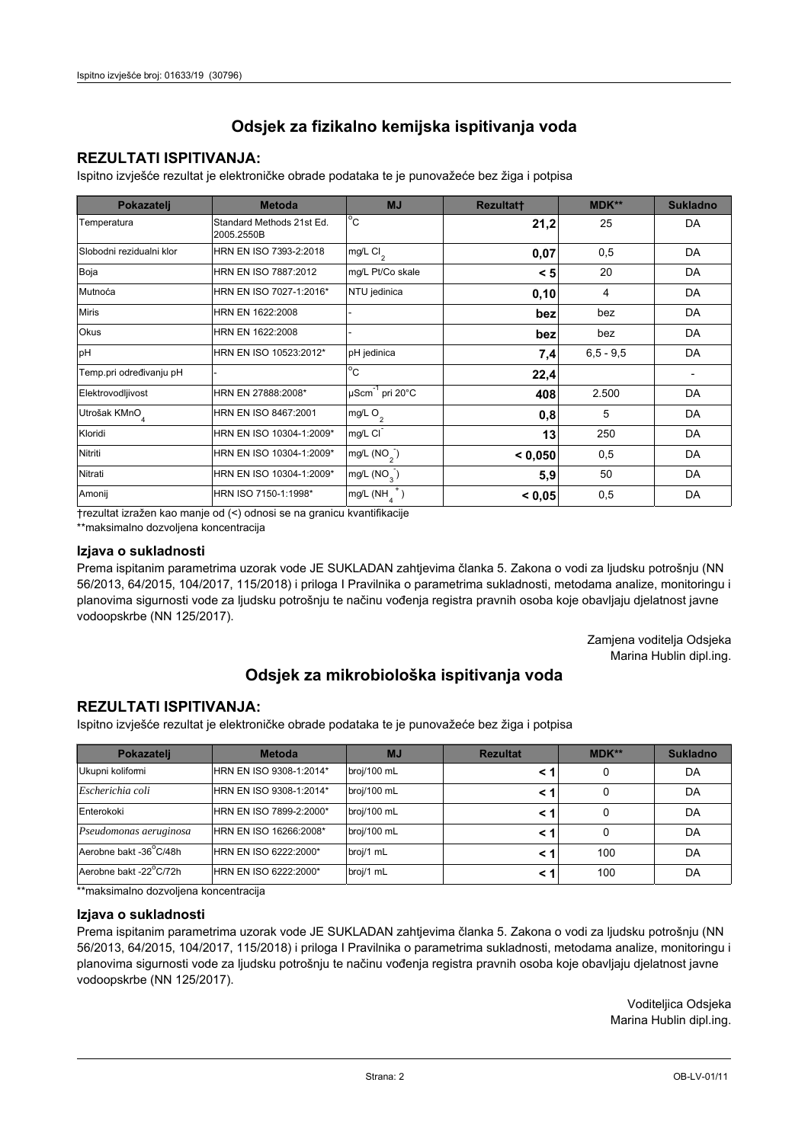## **REZULTATI ISPITIVANJA:**

Ispitno izviešće rezultat je elektroničke obrade podataka te je punovažeće bez žiga i potpisa

| Pokazatelj                | <b>Metoda</b>                           | <b>MJ</b>               | <b>Rezultatt</b> | <b>MDK**</b>  | <b>Sukladno</b> |
|---------------------------|-----------------------------------------|-------------------------|------------------|---------------|-----------------|
| Temperatura               | Standard Methods 21st Ed.<br>2005.2550B | $^{\circ}$ C            | 21,2             | 25            | DA              |
| Slobodni rezidualni klor  | HRN EN ISO 7393-2:2018                  | $mg/L$ Cl <sub>2</sub>  | 0,07             | 0,5           | DA              |
| Boja                      | HRN EN ISO 7887:2012                    | mg/L Pt/Co skale        | < 5              | 20            | DA              |
| Mutnoća                   | HRN EN ISO 7027-1:2016*                 | NTU jedinica            | 0,10             | 4             | DA              |
| <b>Miris</b>              | HRN EN 1622:2008                        |                         | bez              | bez           | DA              |
| <b>Okus</b>               | HRN EN 1622:2008                        |                         | bez              | bez           | DA              |
| pH                        | HRN EN ISO 10523:2012*                  | pH jedinica             | 7,4              | $6, 5 - 9, 5$ | DA              |
| Temp.pri određivanju pH   |                                         | $^{\circ}$ C            | 22,4             |               |                 |
| Elektrovodljivost         | HRN EN 27888:2008*                      | µScm-1 pri 20°C         | 408              | 2.500         | DA              |
| Utrošak KMnO <sub>4</sub> | HRN EN ISO 8467:2001                    | mg/L O <sub>2</sub>     | 0,8              | 5             | DA              |
| Kloridi                   | HRN EN ISO 10304-1:2009*                | mg/L CI                 | 13               | 250           | DA              |
| Nitriti                   | HRN EN ISO 10304-1:2009*                | mg/L $(NO2)$            | < 0,050          | 0,5           | DA              |
| Nitrati                   | HRN EN ISO 10304-1:2009*                | mg/L (NO <sub>3</sub> ) | 5,9              | 50            | DA              |
| Amonij                    | HRN ISO 7150-1:1998*                    | mg/L (NH                | < 0,05           | 0,5           | DA              |

trezultat izražen kao manje od (<) odnosi se na granicu kvantifikacije

\*\*maksimalno dozvoljena koncentracija

#### Izjava o sukladnosti

Prema ispitanim parametrima uzorak vode JE SUKLADAN zahtievima članka 5. Zakona o vodi za ljudsku potrošnju (NN 56/2013, 64/2015, 104/2017, 115/2018) i priloga I Pravilnika o parametrima sukladnosti, metodama analize, monitoringu i planovima sigurnosti vode za ljudsku potrošnju te načinu vođenja registra pravnih osoba koje obavljaju djelatnost javne vodoopskrbe (NN 125/2017).

> Zamjena voditelja Odsjeka Marina Hublin dipl.ing.

## Odsjek za mikrobiološka ispitivanja voda

## **REZULTATI ISPITIVANJA:**

Ispitno izvješće rezultat je elektroničke obrade podataka te je punovažeće bez žiga i potpisa

| Pokazatelj             | <b>Metoda</b>           | <b>MJ</b>   | <b>Rezultat</b> | $MDK**$ | <b>Sukladno</b> |
|------------------------|-------------------------|-------------|-----------------|---------|-----------------|
| Ukupni kolifomi        | HRN EN ISO 9308-1:2014* | broj/100 mL |                 | 0       | DA              |
| Escherichia coli       | HRN EN ISO 9308-1:2014* | broj/100 mL |                 | 0       | DA              |
| Enterokoki             | HRN EN ISO 7899-2:2000* | broj/100 mL |                 | 0       | DA              |
| Pseudomonas aeruginosa | HRN EN ISO 16266:2008*  | broj/100 mL | < 1             | 0       | DA              |
| Aerobne bakt -36 C/48h | HRN EN ISO 6222:2000*   | broj/1 mL   |                 | 100     | DA              |
| Aerobne bakt -22°C/72h | HRN EN ISO 6222:2000*   | broj/1 mL   |                 | 100     | DA              |

\*\*maksimalno dozvoljena koncentracija

#### Izjava o sukladnosti

Prema ispitanim parametrima uzorak vode JE SUKLADAN zahtjevima članka 5. Zakona o vodi za ljudsku potrošnju (NN 56/2013, 64/2015, 104/2017, 115/2018) i priloga I Pravilnika o parametrima sukladnosti, metodama analize, monitoringu i planovima sigurnosti vode za ljudsku potrošnju te načinu vođenja registra pravnih osoba koje obavljaju djelatnost javne vodoopskrbe (NN 125/2017).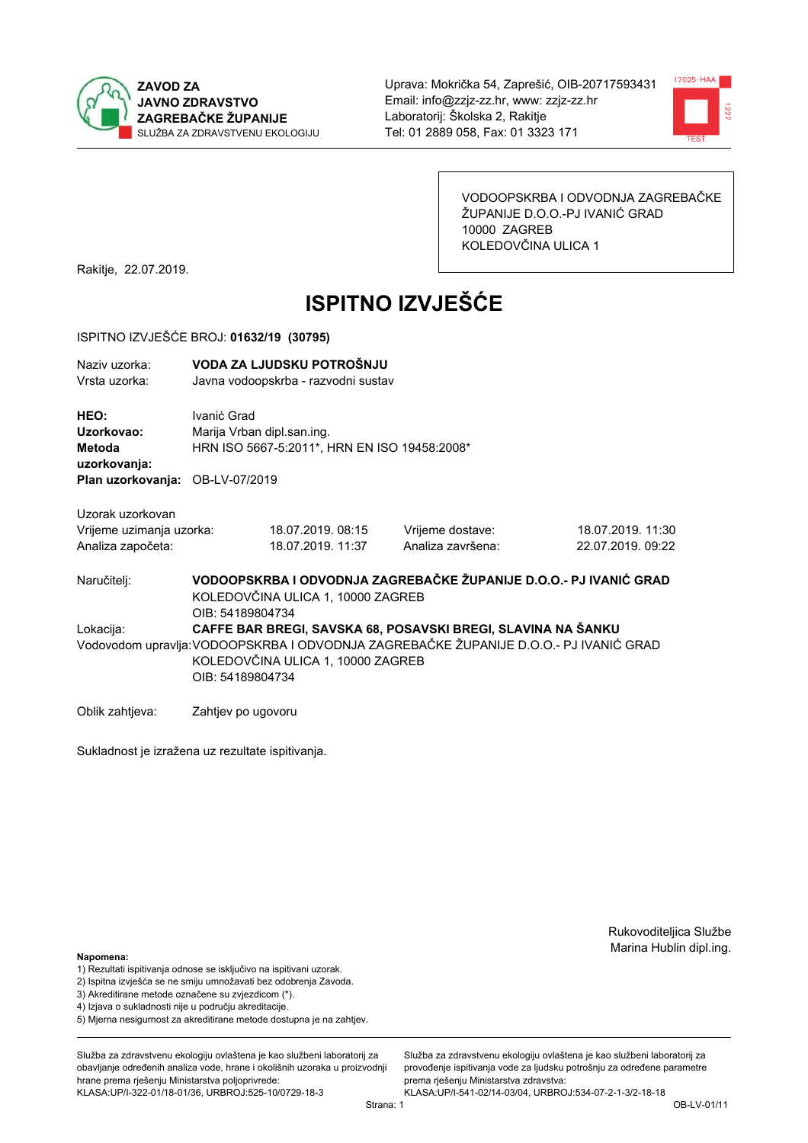



VODOOPSKRBA I ODVODNJA ZAGREBAČKE ŽUPANIJE D.O.O.-PJ IVANIĆ GRAD 10000 ZAGREB KOLEDOVČINA ULICA 1

Rakitje, 22.07.2019.

# **ISPITNO IZVJEŠĆE**

#### ISPITNO IZVJEŠĆE BROJ: 01632/19 (30795)

| Naziv uzorka:<br>Vrsta uzorka:                      | VODA ZA LJUDSKU POTROŠNJU<br>Javna vodoopskrba - razvodni sustav                                                                                                                                               |                   |                   |                   |  |  |  |
|-----------------------------------------------------|----------------------------------------------------------------------------------------------------------------------------------------------------------------------------------------------------------------|-------------------|-------------------|-------------------|--|--|--|
| HEO:<br>Uzorkovao:<br><b>Metoda</b><br>uzorkovanja: | Ivanić Grad<br>Marija Vrban dipl.san.ing.<br>HRN ISO 5667-5:2011*, HRN EN ISO 19458:2008*                                                                                                                      |                   |                   |                   |  |  |  |
| Plan uzorkovanja: OB-LV-07/2019                     |                                                                                                                                                                                                                |                   |                   |                   |  |  |  |
| Uzorak uzorkovan                                    |                                                                                                                                                                                                                |                   |                   |                   |  |  |  |
| Vrijeme uzimanja uzorka:                            |                                                                                                                                                                                                                | 18.07.2019.08:15  | Vrijeme dostave:  | 18.07.2019. 11:30 |  |  |  |
| Analiza započeta:                                   |                                                                                                                                                                                                                | 18.07.2019. 11:37 | Analiza završena: | 22.07.2019. 09:22 |  |  |  |
| Naručitelj:                                         | VODOOPSKRBA I ODVODNJA ZAGREBAČKE ŽUPANIJE D.O.O.- PJ IVANIĆ GRAD<br>KOLEDOVČINA ULICA 1, 10000 ZAGREB<br>OIB: 54189804734                                                                                     |                   |                   |                   |  |  |  |
| Lokacija:                                           | CAFFE BAR BREGI, SAVSKA 68, POSAVSKI BREGI, SLAVINA NA ŠANKU<br>Vodovodom upravlja: VODOOPSKRBA I ODVODNJA ZAGREBAČKE ŽUPANIJE D.O.O.- PJ IVANIĆ GRAD<br>KOLEDOVČINA ULICA 1, 10000 ZAGREB<br>OIB: 54189804734 |                   |                   |                   |  |  |  |
| Oblik zahtieva:                                     | Zahtjev po ugovoru                                                                                                                                                                                             |                   |                   |                   |  |  |  |

Sukladnost je izražena uz rezultate ispitivanja.

Rukovoditeljica Službe Marina Hublin dipl.ing.

#### Napomena:

- 1) Rezultati ispitivanja odnose se isključivo na ispitivani uzorak.
- 2) Ispitna izvješća se ne smiju umnožavati bez odobrenja Zavoda.
- 3) Akreditirane metode označene su zvjezdicom (\*).
- 4) Iziava o sukladnosti nije u području akreditacije.
- 5) Mjerna nesigurnost za akreditirane metode dostupna je na zahtjev.

Služba za zdravstvenu ekologiju ovlaštena je kao službeni laboratorij za obavlianie određenih analiza vode, hrane i okolišnih uzoraka u proizvodniji hrane prema rješenju Ministarstva poljoprivrede: KLASA:UP/I-322-01/18-01/36, URBROJ:525-10/0729-18-3

Služba za zdravstvenu ekologiju ovlaštena je kao službeni laboratorij za provođenie ispitivania vode za liudsku potrošniu za određene parametre prema rješenju Ministarstva zdravstva:

KLASA:UP/I-541-02/14-03/04, URBROJ:534-07-2-1-3/2-18-18